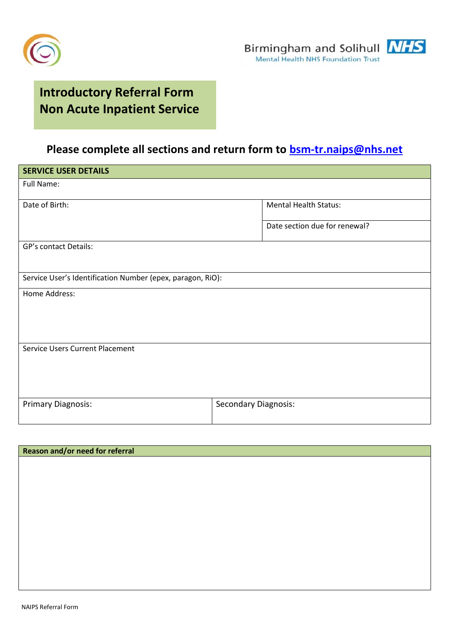



## **Introductory Referral Form Non Acute Inpatient Service**

## **Please complete all sections and return form to [bsm-tr.naips@nhs.net](mailto:bsm-tr.naips@nhs.net)**

| <b>SERVICE USER DETAILS</b>                                |                               |  |
|------------------------------------------------------------|-------------------------------|--|
| Full Name:                                                 |                               |  |
| Date of Birth:                                             | <b>Mental Health Status:</b>  |  |
|                                                            | Date section due for renewal? |  |
| <b>GP's contact Details:</b>                               |                               |  |
|                                                            |                               |  |
| Service User's Identification Number (epex, paragon, RiO): |                               |  |
| Home Address:                                              |                               |  |
|                                                            |                               |  |
|                                                            |                               |  |
| <b>Service Users Current Placement</b>                     |                               |  |
|                                                            |                               |  |
|                                                            |                               |  |
|                                                            |                               |  |
| <b>Primary Diagnosis:</b>                                  | <b>Secondary Diagnosis:</b>   |  |
|                                                            |                               |  |

| Reason and/or need for referral |  |  |
|---------------------------------|--|--|
|                                 |  |  |
|                                 |  |  |
|                                 |  |  |
|                                 |  |  |
|                                 |  |  |
|                                 |  |  |
|                                 |  |  |
|                                 |  |  |
|                                 |  |  |
|                                 |  |  |
|                                 |  |  |
|                                 |  |  |
|                                 |  |  |
|                                 |  |  |
|                                 |  |  |
|                                 |  |  |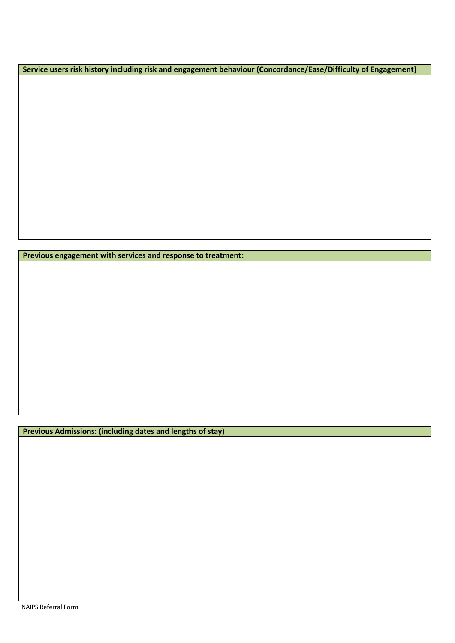**Service users risk history including risk and engagement behaviour (Concordance/Ease/Difficulty of Engagement)**

**Previous engagement with services and response to treatment:**

**Previous Admissions: (including dates and lengths of stay)**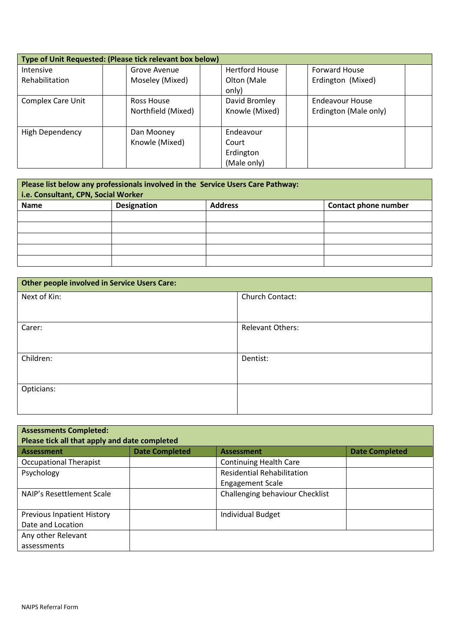| Type of Unit Requested: (Please tick relevant box below) |                    |                       |                       |  |
|----------------------------------------------------------|--------------------|-----------------------|-----------------------|--|
| Intensive                                                | Grove Avenue       | <b>Hertford House</b> | <b>Forward House</b>  |  |
| Rehabilitation                                           | Moseley (Mixed)    | Olton (Male<br>only)  | Erdington (Mixed)     |  |
| <b>Complex Care Unit</b>                                 | Ross House         | David Bromley         | Endeavour House       |  |
|                                                          | Northfield (Mixed) | Knowle (Mixed)        | Erdington (Male only) |  |
| High Dependency                                          | Dan Mooney         | Endeavour             |                       |  |
|                                                          | Knowle (Mixed)     | Court                 |                       |  |
|                                                          |                    | Erdington             |                       |  |
|                                                          |                    | (Male only)           |                       |  |

| Please list below any professionals involved in the Service Users Care Pathway:<br>i.e. Consultant, CPN, Social Worker |                    |                |                      |
|------------------------------------------------------------------------------------------------------------------------|--------------------|----------------|----------------------|
| Name                                                                                                                   | <b>Designation</b> | <b>Address</b> | Contact phone number |
|                                                                                                                        |                    |                |                      |
|                                                                                                                        |                    |                |                      |
|                                                                                                                        |                    |                |                      |
|                                                                                                                        |                    |                |                      |
|                                                                                                                        |                    |                |                      |

| Other people involved in Service Users Care: |                         |  |
|----------------------------------------------|-------------------------|--|
| Next of Kin:                                 | Church Contact:         |  |
|                                              |                         |  |
| Carer:                                       | <b>Relevant Others:</b> |  |
| Children:                                    | Dentist:                |  |
| Opticians:                                   |                         |  |

| <b>Assessments Completed:</b><br>Please tick all that apply and date completed |                       |                                   |                       |
|--------------------------------------------------------------------------------|-----------------------|-----------------------------------|-----------------------|
| <b>Assessment</b>                                                              | <b>Date Completed</b> | <b>Assessment</b>                 | <b>Date Completed</b> |
| <b>Occupational Therapist</b>                                                  |                       | <b>Continuing Health Care</b>     |                       |
| Psychology                                                                     |                       | <b>Residential Rehabilitation</b> |                       |
|                                                                                |                       | <b>Engagement Scale</b>           |                       |
| NAIP's Resettlement Scale                                                      |                       | Challenging behaviour Checklist   |                       |
| <b>Previous Inpatient History</b>                                              |                       | <b>Individual Budget</b>          |                       |
| Date and Location                                                              |                       |                                   |                       |
| Any other Relevant                                                             |                       |                                   |                       |
| assessments                                                                    |                       |                                   |                       |